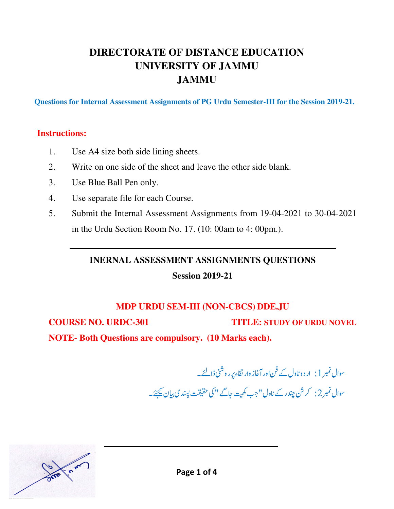# **DIRECTORATE OF DISTANCE EDUCATION UNIVERSITY OF JAMMU JAMMU**

**Questions for Internal Assessment Assignments of PG Urdu Semester-III for the Session 2019-21.** 

#### **Instructions:**

 $\overline{a}$ 

- 1. Use A4 size both side lining sheets.
- 2. Write on one side of the sheet and leave the other side blank.
- 3. Use Blue Ball Pen only.
- 4. Use separate file for each Course.
- 5. Submit the Internal Assessment Assignments from 19-04-2021 to 30-04-2021 in the Urdu Section Room No. 17. (10: 00am to 4: 00pm.).

**INERNAL ASSESSMENT ASSIGNMENTS QUESTIONS Session 2019-21** 

### **MDP URDU SEM-III (NON-CBCS) DDE.JU**

**COURSE NO. URDC-301 TITLE: STUDY OF URDU NOVEL**

**NOTE- Both Questions are compulsory. (10 Marks each).** 

سوال نمبر 1 : ار د و ناول کے فن اور آغاز وار تقاء پر ر وشنی ڈالئے۔  $\int$ سوال نمبر 2: كرش چندر كے ناول" جب كھيت جاگے " كى حقيقت پسند ي بيان <u>مي</u>جئے۔

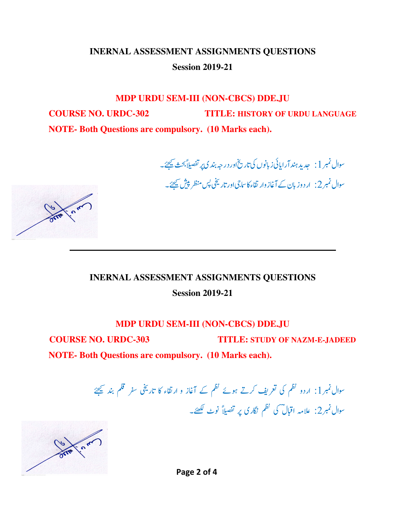# **INERNAL ASSESSMENT ASSIGNMENTS QUESTIONS Session 2019-21**

# **MDP URDU SEM-III (NON-CBCS) DDE.JU COURSE NO. URDC-302 TITLE: HISTORY OF URDU LANGUAGE NOTE- Both Questions are compulsory. (10 Marks each).**

سوال نمبر 1 : جدید ہند آرایائی زبانوں کی تاریخ اور در جہ بندی پر تفصیلاً بحث <u>می</u>جئے۔ سوال نمبر 2: ار دوز بان کے آغاز وار تقاء کا ساجی اور تاریخی پس منظر پیش <u>ب</u>یجئے۔



#### **MDP URDU SEM-III (NON-CBCS) DDE.JU**

**COURSE NO. URDC-303 TITLE: STUDY OF NAZM-E-JADEED**

**NOTE- Both Questions are compulsory. (10 Marks each).**

۔<br>سوال نمبر 1: اردو نظم کی تعریف کرتے ہوئے نظم کے آغاز و ارتقاء کا تاریخی سفر قلم بند ﷺ سوال نمبر2: علامہ اقبال کی تھم نگاری پر تفصیلاً نوٹ لکھئے۔



 $\overline{\phantom{a}}$ 

 $\overline{a}$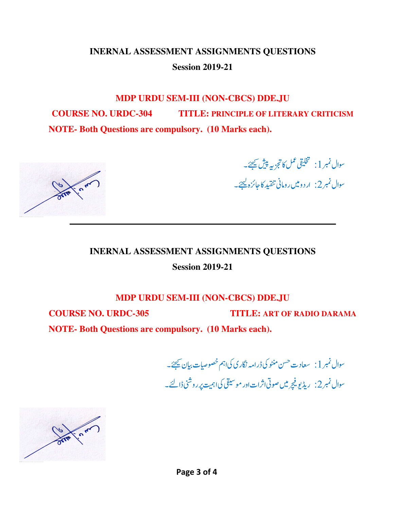# **INERNAL ASSESSMENT ASSIGNMENTS QUESTIONS Session 2019-21**

**MDP URDU SEM-III (NON-CBCS) DDE.JU COURSE NO. URDC-304 TITLE: PRINCIPLE OF LITERARY CRITICISM NOTE- Both Questions are compulsory. (10 Marks each).** 



سوال نمبر  $\left.1\right.$  محليقى نمل كالتجزيه پيش فيھئے۔ سو<mark>ال نمبر 2: اردومیں رومانی تنقید کا</mark>جائزہ <u>کیج</u>ئے۔ ار د و میں ر ومانی تنقید کا *جائز*ہ <u>لیح</u>ئے۔

#### **INERNAL ASSESSMENT ASSIGNMENTS QUESTIONS**

**Session 2019-21** 

**MDP URDU SEM-III (NON-CBCS) DDE.JU** 

**COURSE NO. URDC-305 TITLE: ART OF RADIO DARAMA**

**NOTE- Both Questions are compulsory. (10 Marks each).**

 %&'^\_`a-+(NK-+bc^d - سوال نمبر 2: ریڈیو فیچر میں صوتی اثرات اور موسیقی کی اہمیت پر روشنی ڈالئے۔ m اثراتاور موسیقی کیاہمیت *پر ر*وشنی ڈالئے۔